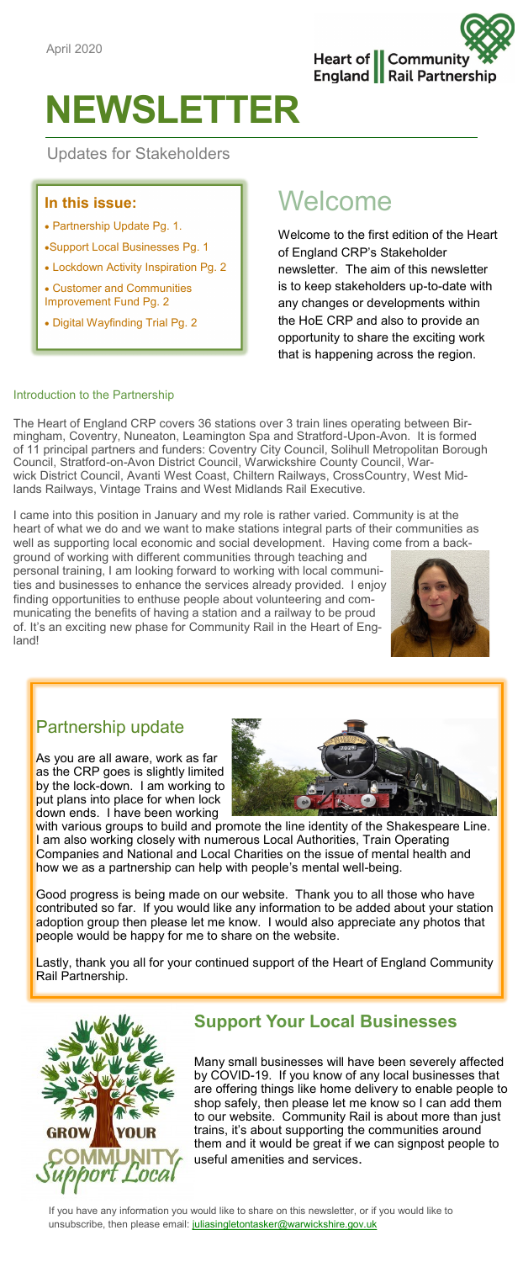

# **NEWSLETTER**

Updates for Stakeholders

#### **In this issue:**

- Partnership Update Pg. 1.
- •Support Local Businesses Pg. 1
- Lockdown Activity Inspiration Pg. 2

• Customer and Communities Improvement Fund Pg. 2

• Digital Wayfinding Trial Pg. 2

# Welcome

Welcome to the first edition of the Heart of England CRP's Stakeholder newsletter. The aim of this newsletter is to keep stakeholders up-to-date with any changes or developments within the HoE CRP and also to provide an opportunity to share the exciting work that is happening across the region.

#### Introduction to the Partnership

The Heart of England CRP covers 36 stations over 3 train lines operating between Birmingham, Coventry, Nuneaton, Leamington Spa and Stratford-Upon-Avon. It is formed of 11 principal partners and funders: Coventry City Council, Solihull Metropolitan Borough Council, Stratford-on-Avon District Council, Warwickshire County Council, Warwick District Council, Avanti West Coast, Chiltern Railways, CrossCountry, West Midlands Railways, Vintage Trains and West Midlands Rail Executive.

I came into this position in January and my role is rather varied. Community is at the heart of what we do and we want to make stations integral parts of their communities as well as supporting local economic and social development. Having come from a back-

ground of working with different communities through teaching and personal training, I am looking forward to working with local communities and businesses to enhance the services already provided. I enjoy finding opportunities to enthuse people about volunteering and communicating the benefits of having a station and a railway to be proud of. It's an exciting new phase for Community Rail in the Heart of England!



# Partnership update

As you are all aware, work as far as the CRP goes is slightly limited by the lock-down. I am working to put plans into place for when lock down ends. I have been working



with various groups to build and promote the line identity of the Shakespeare Line. I am also working closely with numerous Local Authorities, Train Operating Companies and National and Local Charities on the issue of mental health and how we as a partnership can help with people's mental well-being.

Good progress is being made on our website. Thank you to all those who have contributed so far. If you would like any information to be added about your station adoption group then please let me know. I would also appreciate any photos that people would be happy for me to share on the website.

Lastly, thank you all for your continued support of the Heart of England Community Rail Partnership.



# **Support Your Local Businesses**

Many small businesses will have been severely affected by COVID-19. If you know of any local businesses that are offering things like home delivery to enable people to shop safely, then please let me know so I can add them to our website. Community Rail is about more than just trains, it's about supporting the communities around them and it would be great if we can signpost people to useful amenities and services.